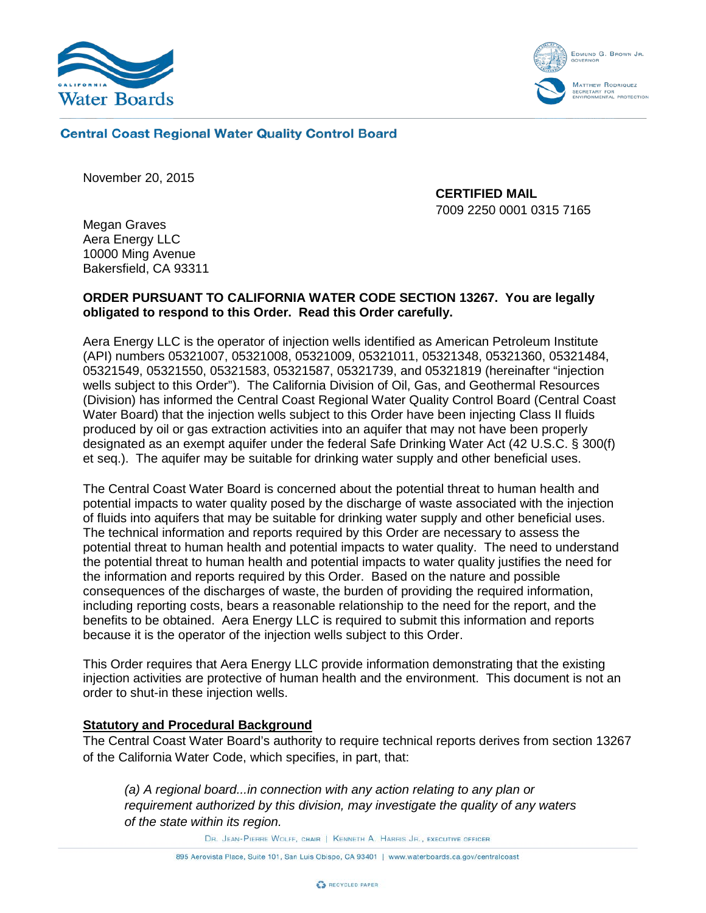



## **Central Coast Regional Water Quality Control Board**

November 20, 2015

**CERTIFIED MAIL** 7009 2250 0001 0315 7165

Megan Graves Aera Energy LLC 10000 Ming Avenue Bakersfield, CA 93311

# **ORDER PURSUANT TO CALIFORNIA WATER CODE SECTION 13267. You are legally obligated to respond to this Order. Read this Order carefully.**

Aera Energy LLC is the operator of injection wells identified as American Petroleum Institute (API) numbers 05321007, 05321008, 05321009, 05321011, 05321348, 05321360, 05321484, 05321549, 05321550, 05321583, 05321587, 05321739, and 05321819 (hereinafter "injection wells subject to this Order"). The California Division of Oil, Gas, and Geothermal Resources (Division) has informed the Central Coast Regional Water Quality Control Board (Central Coast Water Board) that the injection wells subject to this Order have been injecting Class II fluids produced by oil or gas extraction activities into an aquifer that may not have been properly designated as an exempt aquifer under the federal Safe Drinking Water Act (42 U.S.C. § 300(f) et seq.). The aquifer may be suitable for drinking water supply and other beneficial uses.

The Central Coast Water Board is concerned about the potential threat to human health and potential impacts to water quality posed by the discharge of waste associated with the injection of fluids into aquifers that may be suitable for drinking water supply and other beneficial uses. The technical information and reports required by this Order are necessary to assess the potential threat to human health and potential impacts to water quality. The need to understand the potential threat to human health and potential impacts to water quality justifies the need for the information and reports required by this Order. Based on the nature and possible consequences of the discharges of waste, the burden of providing the required information, including reporting costs, bears a reasonable relationship to the need for the report, and the benefits to be obtained. Aera Energy LLC is required to submit this information and reports because it is the operator of the injection wells subject to this Order.

This Order requires that Aera Energy LLC provide information demonstrating that the existing injection activities are protective of human health and the environment. This document is not an order to shut-in these injection wells.

## **Statutory and Procedural Background**

The Central Coast Water Board's authority to require technical reports derives from section 13267 of the California Water Code, which specifies, in part, that:

*(a) A regional board...in connection with any action relating to any plan or requirement authorized by this division, may investigate the quality of any waters of the state within its region.*

DR. JEAN-PIERRE WOLFF, CHAIR | KENNETH A. HARRIS JR., EXECUTIVE OFFICER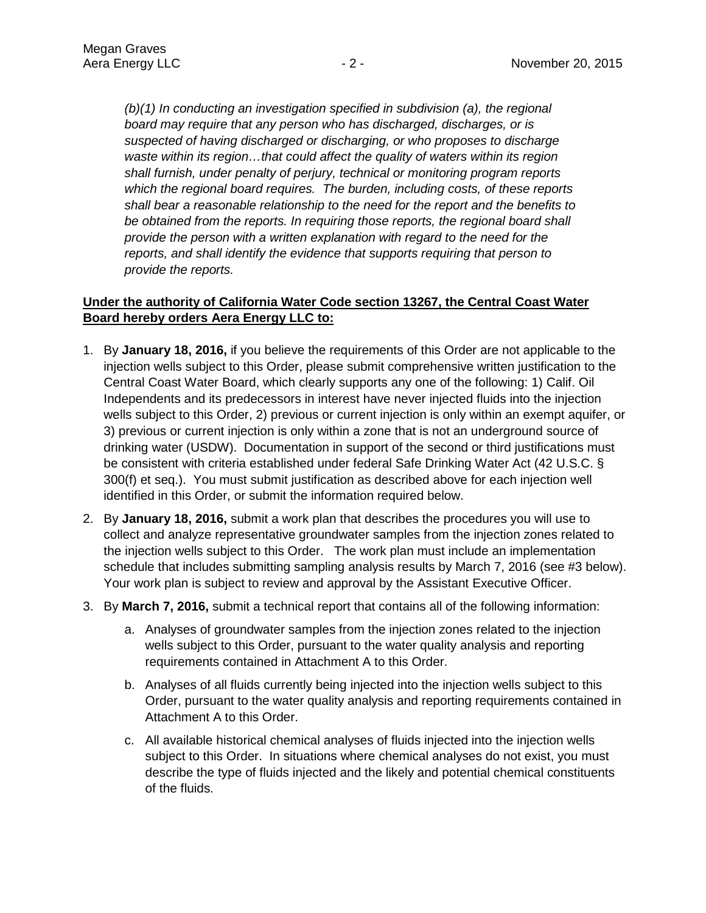*(b)(1) In conducting an investigation specified in subdivision (a), the regional board may require that any person who has discharged, discharges, or is suspected of having discharged or discharging, or who proposes to discharge waste within its region…that could affect the quality of waters within its region shall furnish, under penalty of perjury, technical or monitoring program reports which the regional board requires. The burden, including costs, of these reports shall bear a reasonable relationship to the need for the report and the benefits to be obtained from the reports. In requiring those reports, the regional board shall provide the person with a written explanation with regard to the need for the reports, and shall identify the evidence that supports requiring that person to provide the reports.*

# **Under the authority of California Water Code section 13267, the Central Coast Water Board hereby orders Aera Energy LLC to:**

- 1. By **January 18, 2016,** if you believe the requirements of this Order are not applicable to the injection wells subject to this Order, please submit comprehensive written justification to the Central Coast Water Board, which clearly supports any one of the following: 1) Calif. Oil Independents and its predecessors in interest have never injected fluids into the injection wells subject to this Order, 2) previous or current injection is only within an exempt aquifer, or 3) previous or current injection is only within a zone that is not an underground source of drinking water (USDW). Documentation in support of the second or third justifications must be consistent with criteria established under federal Safe Drinking Water Act (42 U.S.C. § 300(f) et seq.). You must submit justification as described above for each injection well identified in this Order, or submit the information required below.
- 2. By **January 18, 2016,** submit a work plan that describes the procedures you will use to collect and analyze representative groundwater samples from the injection zones related to the injection wells subject to this Order. The work plan must include an implementation schedule that includes submitting sampling analysis results by March 7, 2016 (see #3 below). Your work plan is subject to review and approval by the Assistant Executive Officer.
- 3. By **March 7, 2016,** submit a technical report that contains all of the following information:
	- a. Analyses of groundwater samples from the injection zones related to the injection wells subject to this Order, pursuant to the water quality analysis and reporting requirements contained in Attachment A to this Order.
	- b. Analyses of all fluids currently being injected into the injection wells subject to this Order, pursuant to the water quality analysis and reporting requirements contained in Attachment A to this Order.
	- c. All available historical chemical analyses of fluids injected into the injection wells subject to this Order. In situations where chemical analyses do not exist, you must describe the type of fluids injected and the likely and potential chemical constituents of the fluids.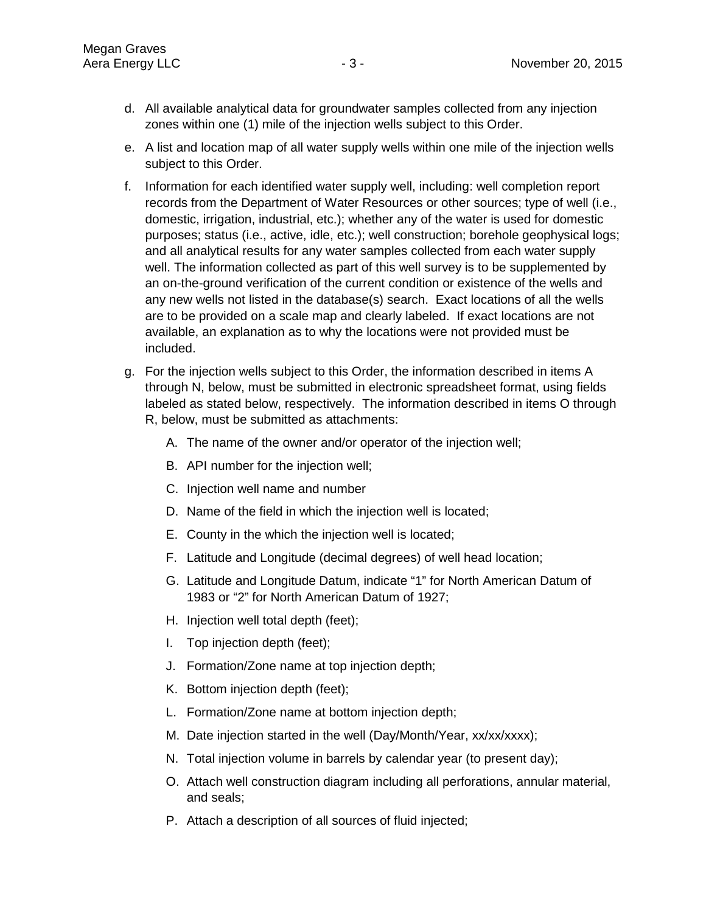- d. All available analytical data for groundwater samples collected from any injection zones within one (1) mile of the injection wells subject to this Order.
- e. A list and location map of all water supply wells within one mile of the injection wells subject to this Order.
- f. Information for each identified water supply well, including: well completion report records from the Department of Water Resources or other sources; type of well (i.e., domestic, irrigation, industrial, etc.); whether any of the water is used for domestic purposes; status (i.e., active, idle, etc.); well construction; borehole geophysical logs; and all analytical results for any water samples collected from each water supply well. The information collected as part of this well survey is to be supplemented by an on-the-ground verification of the current condition or existence of the wells and any new wells not listed in the database(s) search. Exact locations of all the wells are to be provided on a scale map and clearly labeled. If exact locations are not available, an explanation as to why the locations were not provided must be included.
- g. For the injection wells subject to this Order, the information described in items A through N, below, must be submitted in electronic spreadsheet format, using fields labeled as stated below, respectively. The information described in items O through R, below, must be submitted as attachments:
	- A. The name of the owner and/or operator of the injection well;
	- B. API number for the injection well;
	- C. Injection well name and number
	- D. Name of the field in which the injection well is located;
	- E. County in the which the injection well is located;
	- F. Latitude and Longitude (decimal degrees) of well head location;
	- G. Latitude and Longitude Datum, indicate "1" for North American Datum of 1983 or "2" for North American Datum of 1927;
	- H. Injection well total depth (feet);
	- I. Top injection depth (feet);
	- J. Formation/Zone name at top injection depth;
	- K. Bottom injection depth (feet);
	- L. Formation/Zone name at bottom injection depth;
	- M. Date injection started in the well (Day/Month/Year, xx/xx/xxxx);
	- N. Total injection volume in barrels by calendar year (to present day);
	- O. Attach well construction diagram including all perforations, annular material, and seals;
	- P. Attach a description of all sources of fluid injected;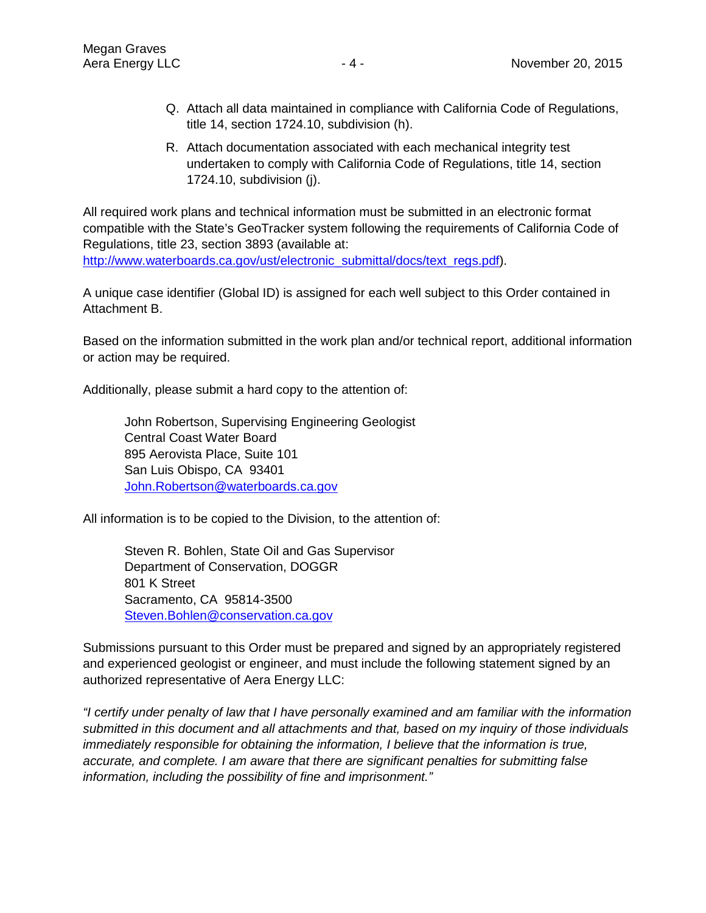- Q. Attach all data maintained in compliance with California Code of Regulations, title 14, section 1724.10, subdivision (h).
- R. Attach documentation associated with each mechanical integrity test undertaken to comply with California Code of Regulations, title 14, section 1724.10, subdivision (j).

All required work plans and technical information must be submitted in an electronic format compatible with the State's GeoTracker system following the requirements of California Code of Regulations, title 23, section 3893 (available at: [http://www.waterboards.ca.gov/ust/electronic\\_submittal/docs/text\\_regs.pdf\)](http://www.waterboards.ca.gov/ust/electronic_submittal/docs/text_regs.pdf).

A unique case identifier (Global ID) is assigned for each well subject to this Order contained in Attachment B.

Based on the information submitted in the work plan and/or technical report, additional information or action may be required.

Additionally, please submit a hard copy to the attention of:

John Robertson, Supervising Engineering Geologist Central Coast Water Board 895 Aerovista Place, Suite 101 San Luis Obispo, CA 93401 [John.Robertson@waterboards.ca.gov](mailto:John.Robertson@waterboards.ca.gov)

All information is to be copied to the Division, to the attention of:

Steven R. Bohlen, State Oil and Gas Supervisor Department of Conservation, DOGGR 801 K Street Sacramento, CA 95814-3500 [Steven.Bohlen@conservation.ca.gov](mailto:Steven.Bohlen@conservation.ca.gov)

Submissions pursuant to this Order must be prepared and signed by an appropriately registered and experienced geologist or engineer, and must include the following statement signed by an authorized representative of Aera Energy LLC:

*"I certify under penalty of law that I have personally examined and am familiar with the information submitted in this document and all attachments and that, based on my inquiry of those individuals immediately responsible for obtaining the information, I believe that the information is true, accurate, and complete. I am aware that there are significant penalties for submitting false information, including the possibility of fine and imprisonment."*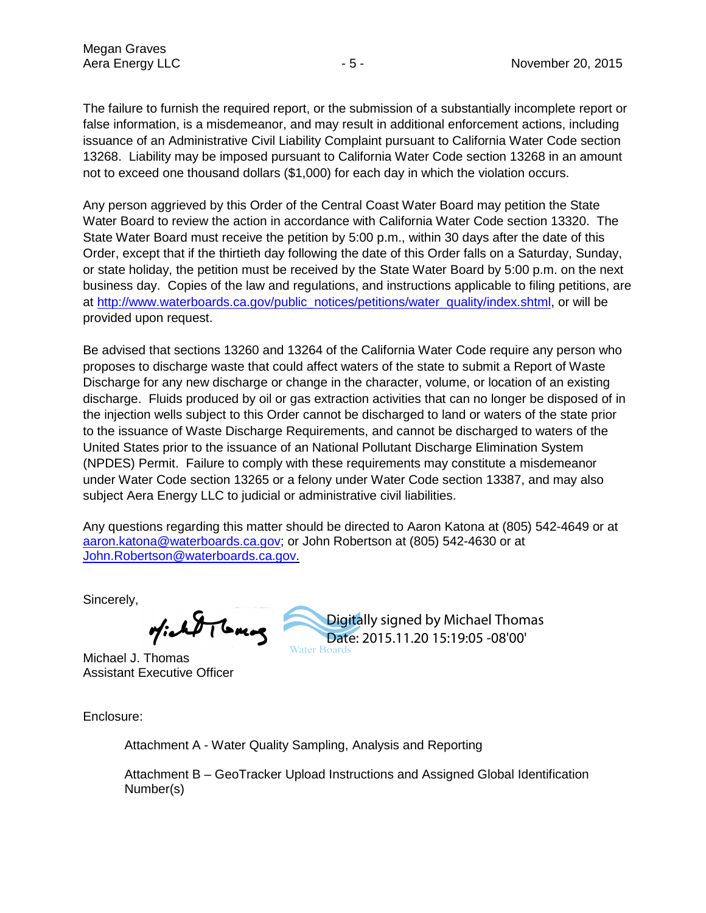The failure to furnish the required report, or the submission of a substantially incomplete report or false information, is a misdemeanor, and may result in additional enforcement actions, including issuance of an Administrative Civil Liability Complaint pursuant to California Water Code section 13268. Liability may be imposed pursuant to California Water Code section 13268 in an amount not to exceed one thousand dollars (\$1,000) for each day in which the violation occurs.

Any person aggrieved by this Order of the Central Coast Water Board may petition the State Water Board to review the action in accordance with California Water Code section 13320. The State Water Board must receive the petition by 5:00 p.m., within 30 days after the date of this Order, except that if the thirtieth day following the date of this Order falls on a Saturday, Sunday, or state holiday, the petition must be received by the State Water Board by 5:00 p.m. on the next business day. Copies of the law and regulations, and instructions applicable to filing petitions, are at [http://www.waterboards.ca.gov/public\\_notices/petitions/water\\_quality/index.shtml,](http://www.waterboards.ca.gov/public_notices/petitions/water_quality/index.shtml) or will be provided upon request.

Be advised that sections 13260 and 13264 of the California Water Code require any person who proposes to discharge waste that could affect waters of the state to submit a Report of Waste Discharge for any new discharge or change in the character, volume, or location of an existing discharge. Fluids produced by oil or gas extraction activities that can no longer be disposed of in the injection wells subject to this Order cannot be discharged to land or waters of the state prior to the issuance of Waste Discharge Requirements, and cannot be discharged to waters of the United States prior to the issuance of an National Pollutant Discharge Elimination System (NPDES) Permit. Failure to comply with these requirements may constitute a misdemeanor under Water Code section 13265 or a felony under Water Code section 13387, and may also subject Aera Energy LLC to judicial or administrative civil liabilities.

Any questions regarding this matter should be directed to Aaron Katona at (805) 542-4649 or at [aaron.katona@waterboards.ca.gov;](mailto:aaron.katona@waterboards.ca.gov) or John Robertson at (805) 542-4630 or at [John.Robertson@waterboards.ca.gov.](mailto:John.Robertson@waterboards.ca.gov)

Sincerely,

TTGMM

Michael J. Thomas Assistant Executive Officer

Enclosure:

Attachment A - Water Quality Sampling, Analysis and Reporting

Attachment B – GeoTracker Upload Instructions and Assigned Global Identification Number(s)

Digitally signed by Michael Thomas Date: 2015.11.20 15:19:05 -08'00'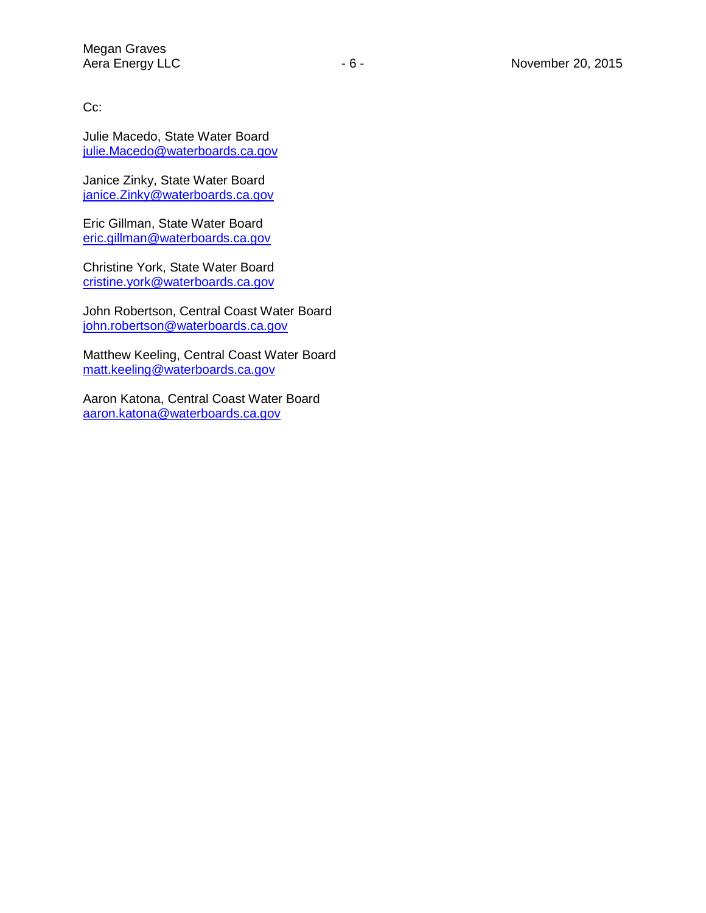Cc:

Julie Macedo, State Water Board [julie.Macedo@waterboards.ca.gov](mailto:julie.Macedo@waterboards.ca.gov)

Janice Zinky, State Water Board [janice.Zinky@waterboards.ca.gov](mailto:janice.Zinky@waterboards.ca.gov)

Eric Gillman, State Water Board [eric.gillman@waterboards.ca.gov](mailto:eric.gillman@waterboards.ca.gov)

Christine York, State Water Board [cristine.york@waterboards.ca.gov](mailto:cristine.york@waterboards.ca.gov)

John Robertson, Central Coast Water Board [john.robertson@waterboards.ca.gov](mailto:john.robertson@waterboards.ca.gov)

Matthew Keeling, Central Coast Water Board [matt.keeling@waterboards.ca.gov](mailto:matt.keeling@waterboards.ca.gov)

Aaron Katona, Central Coast Water Board [aaron.katona@waterboards.ca.gov](mailto:aaron.katona@waterboards.ca.gov)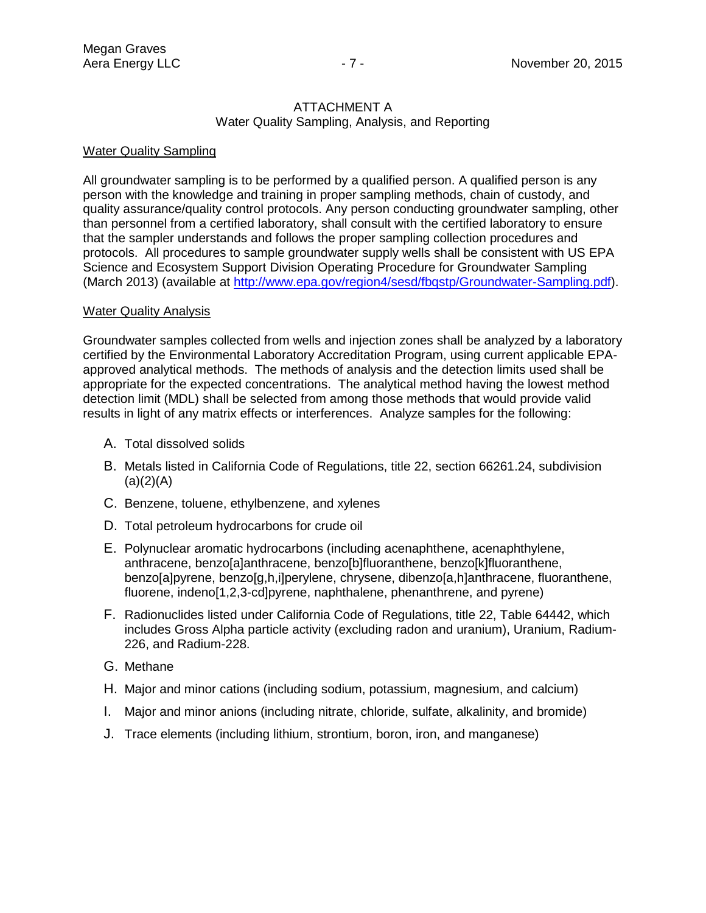#### ATTACHMENT A Water Quality Sampling, Analysis, and Reporting

## Water Quality Sampling

All groundwater sampling is to be performed by a qualified person. A qualified person is any person with the knowledge and training in proper sampling methods, chain of custody, and quality assurance/quality control protocols. Any person conducting groundwater sampling, other than personnel from a certified laboratory, shall consult with the certified laboratory to ensure that the sampler understands and follows the proper sampling collection procedures and protocols. All procedures to sample groundwater supply wells shall be consistent with US EPA Science and Ecosystem Support Division Operating Procedure for Groundwater Sampling (March 2013) (available at [http://www.epa.gov/region4/sesd/fbqstp/Groundwater-Sampling.pdf\)](http://www.epa.gov/region4/sesd/fbqstp/Groundwater-Sampling.pdf).

### **Water Quality Analysis**

Groundwater samples collected from wells and injection zones shall be analyzed by a laboratory certified by the Environmental Laboratory Accreditation Program, using current applicable EPAapproved analytical methods. The methods of analysis and the detection limits used shall be appropriate for the expected concentrations. The analytical method having the lowest method detection limit (MDL) shall be selected from among those methods that would provide valid results in light of any matrix effects or interferences. Analyze samples for the following:

- A. Total dissolved solids
- B. Metals listed in California Code of Regulations, title 22, section 66261.24, subdivision  $(a)(2)(A)$
- C. Benzene, toluene, ethylbenzene, and xylenes
- D. Total petroleum hydrocarbons for crude oil
- E. Polynuclear aromatic hydrocarbons (including acenaphthene, acenaphthylene, anthracene, benzo[a]anthracene, benzo[b]fluoranthene, benzo[k]fluoranthene, benzo[a]pyrene, benzo[g,h,i]perylene, chrysene, dibenzo[a,h]anthracene, fluoranthene, fluorene, indeno[1,2,3-cd]pyrene, naphthalene, phenanthrene, and pyrene)
- F. Radionuclides listed under California Code of Regulations, title 22, Table 64442, which includes Gross Alpha particle activity (excluding radon and uranium), Uranium, Radium-226, and Radium-228.
- G. Methane
- H. Major and minor cations (including sodium, potassium, magnesium, and calcium)
- I. Major and minor anions (including nitrate, chloride, sulfate, alkalinity, and bromide)
- J. Trace elements (including lithium, strontium, boron, iron, and manganese)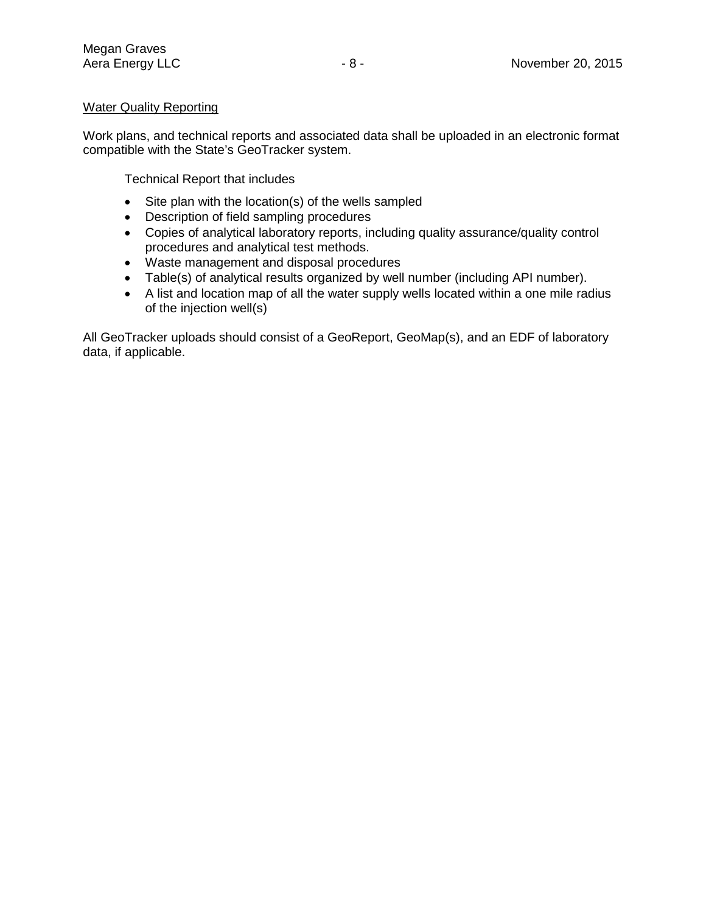# Water Quality Reporting

Work plans, and technical reports and associated data shall be uploaded in an electronic format compatible with the State's GeoTracker system.

Technical Report that includes

- Site plan with the location(s) of the wells sampled
- Description of field sampling procedures
- Copies of analytical laboratory reports, including quality assurance/quality control procedures and analytical test methods.
- Waste management and disposal procedures
- Table(s) of analytical results organized by well number (including API number).
- A list and location map of all the water supply wells located within a one mile radius of the injection well(s)

All GeoTracker uploads should consist of a GeoReport, GeoMap(s), and an EDF of laboratory data, if applicable.